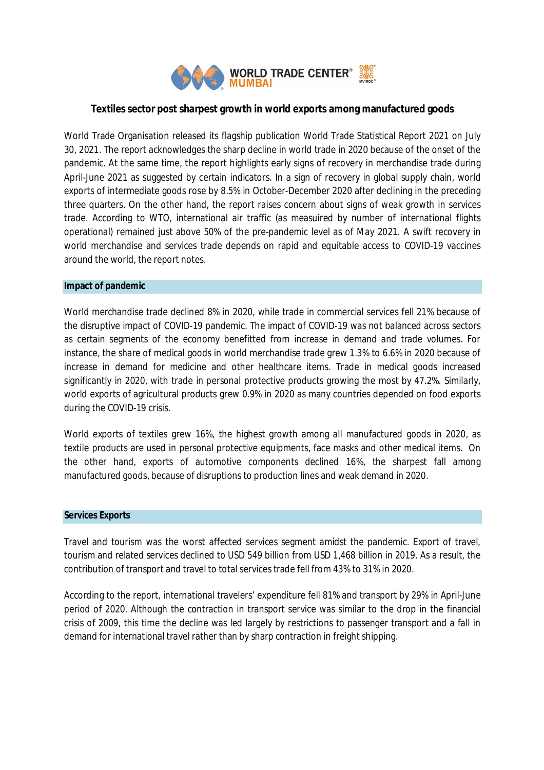

# **Textiles sector post sharpest growth in world exports among manufactured goods**

World Trade Organisation released its flagship publication World Trade Statistical Report 2021 on July 30, 2021. The report acknowledges the sharp decline in world trade in 2020 because of the onset of the pandemic. At the same time, the report highlights early signs of recovery in merchandise trade during April-June 2021 as suggested by certain indicators. In a sign of recovery in global supply chain, world exports of intermediate goods rose by 8.5% in October-December 2020 after declining in the preceding three quarters. On the other hand, the report raises concern about signs of weak growth in services trade. According to WTO, international air traffic (as measuired by number of international flights operational) remained just above 50% of the pre-pandemic level as of May 2021. A swift recovery in world merchandise and services trade depends on rapid and equitable access to COVID-19 vaccines around the world, the report notes.

### **Impact of pandemic**

World merchandise trade declined 8% in 2020, while trade in commercial services fell 21% because of the disruptive impact of COVID-19 pandemic. The impact of COVID-19 was not balanced across sectors as certain segments of the economy benefitted from increase in demand and trade volumes. For instance, the share of medical goods in world merchandise trade grew 1.3% to 6.6% in 2020 because of increase in demand for medicine and other healthcare items. Trade in medical goods increased significantly in 2020, with trade in personal protective products growing the most by 47.2%. Similarly, world exports of agricultural products grew 0.9% in 2020 as many countries depended on food exports during the COVID-19 crisis.

World exports of textiles grew 16%, the highest growth among all manufactured goods in 2020, as textile products are used in personal protective equipments, face masks and other medical items. On the other hand, exports of automotive components declined 16%, the sharpest fall among manufactured goods, because of disruptions to production lines and weak demand in 2020.

### **Services Exports**

Travel and tourism was the worst affected services segment amidst the pandemic. Export of travel, tourism and related services declined to USD 549 billion from USD 1,468 billion in 2019. As a result, the contribution of transport and travel to total services trade fell from 43% to 31% in 2020.

According to the report, international travelers' expenditure fell 81% and transport by 29% in April-June period of 2020. Although the contraction in transport service was similar to the drop in the financial crisis of 2009, this time the decline was led largely by restrictions to passenger transport and a fall in demand for international travel rather than by sharp contraction in freight shipping.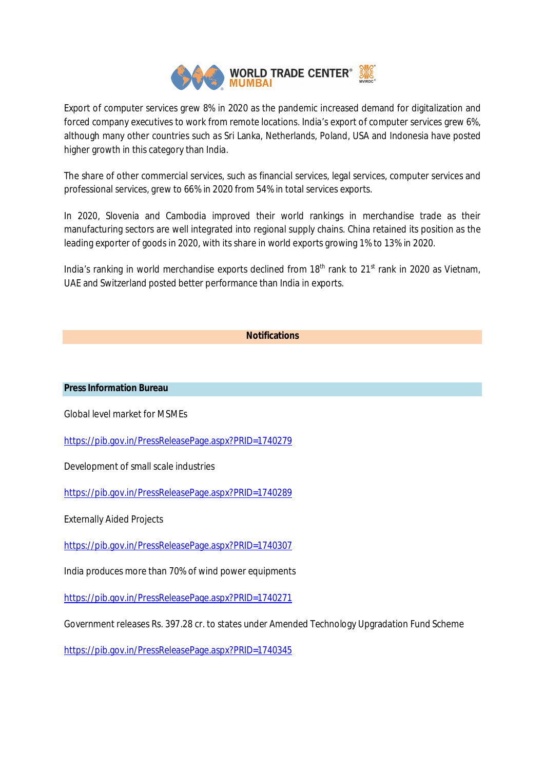

Export of computer services grew 8% in 2020 as the pandemic increased demand for digitalization and forced company executives to work from remote locations. India's export of computer services grew 6%, although many other countries such as Sri Lanka, Netherlands, Poland, USA and Indonesia have posted higher growth in this category than India.

The share of other commercial services, such as financial services, legal services, computer services and professional services, grew to 66% in 2020 from 54% in total services exports.

In 2020, Slovenia and Cambodia improved their world rankings in merchandise trade as their manufacturing sectors are well integrated into regional supply chains. China retained its position as the leading exporter of goods in 2020, with its share in world exports growing 1% to 13% in 2020.

India's ranking in world merchandise exports declined from  $18<sup>th</sup>$  rank to  $21<sup>st</sup>$  rank in 2020 as Vietnam, UAE and Switzerland posted better performance than India in exports.

# **Notifications**

### **Press Information Bureau**

Global level market for MSMEs

https://pib.gov.in/PressReleasePage.aspx?PRID=1740279

Development of small scale industries

https://pib.gov.in/PressReleasePage.aspx?PRID=1740289

Externally Aided Projects

https://pib.gov.in/PressReleasePage.aspx?PRID=1740307

India produces more than 70% of wind power equipments

https://pib.gov.in/PressReleasePage.aspx?PRID=1740271

Government releases Rs. 397.28 cr. to states under Amended Technology Upgradation Fund Scheme

https://pib.gov.in/PressReleasePage.aspx?PRID=1740345